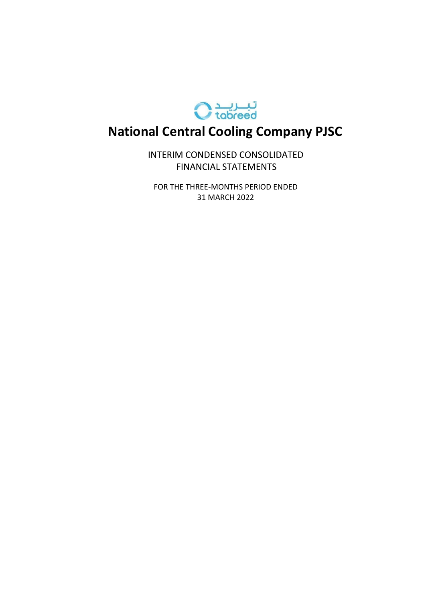

# **National Central Cooling Company PJSC**

INTERIM CONDENSED CONSOLIDATED FINANCIAL STATEMENTS

FOR THE THREE-MONTHS PERIOD ENDED 31 MARCH 2022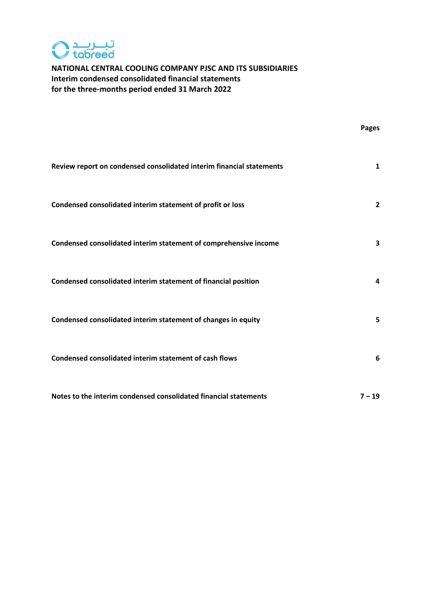

|                                                                      | Pages                   |
|----------------------------------------------------------------------|-------------------------|
| Review report on condensed consolidated interim financial statements | $\mathbf{1}$            |
| Condensed consolidated interim statement of profit or loss           | $\overline{2}$          |
| Condensed consolidated interim statement of comprehensive income     | $\overline{\mathbf{3}}$ |
| Condensed consolidated interim statement of financial position       | 4                       |
| Condensed consolidated interim statement of changes in equity        | 5                       |
| Condensed consolidated interim statement of cash flows               | 6                       |
| Notes to the interim condensed consolidated financial statements     | $7 - 19$                |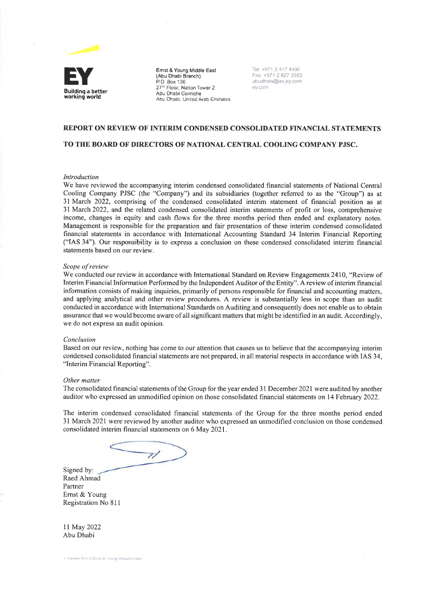

Ernst & Young Middle East (Abu Dhabi Branch) P.O. Box 136 27<sup>th</sup> Floor, Nation Tower 2 Abu Dhabi Corniche Abu Dhahi, United Arab Emirates Tel: +971 2 417 4400<br>Fax: +971 2 627 3383 abudhabi@ae.ey.com ev.com

#### REPORT ON REVIEW OF INTERIM CONDENSED CONSOLIDATED FINANCIAL STATEMENTS

#### TO THE BOARD OF DIRECTORS OF NATIONAL CENTRAL COOLING COMPANY PJSC.

#### Introduction

We have reviewed the accompanying interim condensed consolidated financial statements of National Central Cooling Company PJSC (the "Company") and its subsidiaries (together referred to as the "Group") as at 31 March 2022, comprising of the condensed consolidated interim statement of financial position as at 31 March 2022, and the related condensed consolidated interim statements of profit or loss, comprehensive income, changes in equity and cash flows for the three months period then ended and explanatory notes. Management is responsible for the preparation and fair presentation of these interim condensed consolidated financial statements in accordance with International Accounting Standard 34 Interim Financial Reporting ("IAS 34"). Our responsibility is to express a conclusion on these condensed consolidated interim financial statements based on our review.

#### Scope of review

We conducted our review in accordance with International Standard on Review Engagements 2410, "Review of Interim Financial Information Performed by the Independent Auditor of the Entity". A review of interim financial information consists of making inquiries, primarily of persons responsible for financial and accounting matters. and applying analytical and other review procedures. A review is substantially less in scope than an audit conducted in accordance with International Standards on Auditing and consequently does not enable us to obtain assurance that we would become aware of all significant matters that might be identified in an audit. Accordingly, we do not express an audit opinion.

#### Conclusion

Based on our review, nothing has come to our attention that causes us to believe that the accompanying interim condensed consolidated financial statements are not prepared, in all material respects in accordance with IAS 34, "Interim Financial Reporting".

#### Other matter

The consolidated financial statements of the Group for the year ended 31 December 2021 were audited by another auditor who expressed an unmodified opinion on those consolidated financial statements on 14 February 2022.

The interim condensed consolidated financial statements of the Group for the three months period ended 31 March 2021 were reviewed by another auditor who expressed an unmodified conclusion on those condensed consolidated interim financial statements on 6 May 2021.

Signed by: Raed Ahmad Partner Ernst & Young Registration No 811

11 May 2022 Abu Dhabi

A member firm of Ether & Young (Bisball Limited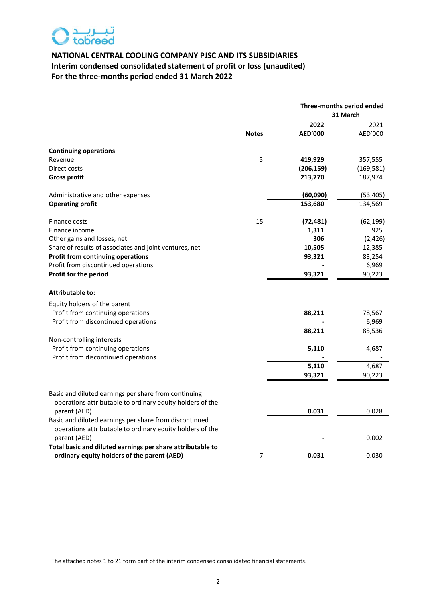

# **NATIONAL CENTRAL COOLING COMPANY PJSC AND ITS SUBSIDIARIES Interim condensed consolidated statement of profit or loss (unaudited) For the three-months period ended 31 March 2022**

|                                                                                                           | <b>Notes</b> | Three-months period ended<br>31 March |                 |  |
|-----------------------------------------------------------------------------------------------------------|--------------|---------------------------------------|-----------------|--|
|                                                                                                           |              | 2022<br><b>AED'000</b>                | 2021<br>AED'000 |  |
|                                                                                                           |              |                                       |                 |  |
| <b>Continuing operations</b><br>Revenue                                                                   | 5            | 419,929                               | 357,555         |  |
| Direct costs                                                                                              |              | (206, 159)                            | (169, 581)      |  |
| <b>Gross profit</b>                                                                                       |              | 213,770                               | 187,974         |  |
| Administrative and other expenses                                                                         |              | (60,090)                              | (53, 405)       |  |
| <b>Operating profit</b>                                                                                   |              | 153,680                               | 134,569         |  |
| Finance costs                                                                                             | 15           | (72, 481)                             | (62, 199)       |  |
| Finance income                                                                                            |              | 1,311                                 | 925             |  |
| Other gains and losses, net                                                                               |              | 306                                   | (2, 426)        |  |
| Share of results of associates and joint ventures, net                                                    |              | 10,505                                | 12,385          |  |
| <b>Profit from continuing operations</b>                                                                  |              | 93,321                                | 83,254          |  |
| Profit from discontinued operations                                                                       |              |                                       | 6,969           |  |
| Profit for the period                                                                                     |              | 93,321                                | 90,223          |  |
| <b>Attributable to:</b>                                                                                   |              |                                       |                 |  |
| Equity holders of the parent                                                                              |              |                                       |                 |  |
| Profit from continuing operations                                                                         |              | 88,211                                | 78,567          |  |
| Profit from discontinued operations                                                                       |              |                                       | 6,969           |  |
|                                                                                                           |              | 88,211                                | 85,536          |  |
| Non-controlling interests                                                                                 |              |                                       |                 |  |
| Profit from continuing operations                                                                         |              | 5,110                                 | 4,687           |  |
| Profit from discontinued operations                                                                       |              |                                       |                 |  |
|                                                                                                           |              | 5,110                                 | 4,687           |  |
|                                                                                                           |              | 93,321                                | 90,223          |  |
| Basic and diluted earnings per share from continuing                                                      |              |                                       |                 |  |
| operations attributable to ordinary equity holders of the                                                 |              |                                       |                 |  |
| parent (AED)                                                                                              |              | 0.031                                 | 0.028           |  |
| Basic and diluted earnings per share from discontinued                                                    |              |                                       |                 |  |
| operations attributable to ordinary equity holders of the                                                 |              |                                       |                 |  |
| parent (AED)                                                                                              |              |                                       | 0.002           |  |
| Total basic and diluted earnings per share attributable to<br>ordinary equity holders of the parent (AED) | 7            | 0.031                                 | 0.030           |  |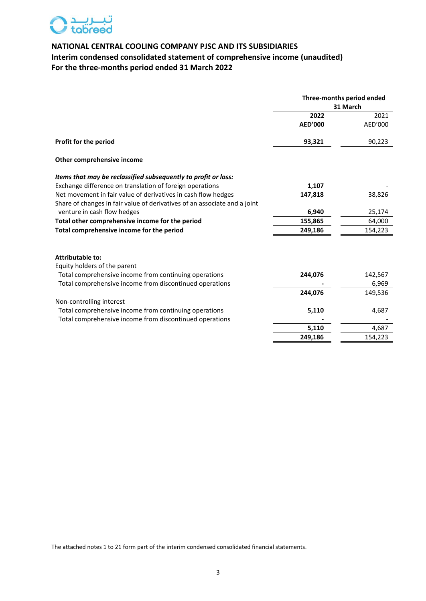

# **NATIONAL CENTRAL COOLING COMPANY PJSC AND ITS SUBSIDIARIES Interim condensed consolidated statement of comprehensive income (unaudited) For the three-months period ended 31 March 2022**

|                                                                           | Three-months period ended<br>31 March |         |  |
|---------------------------------------------------------------------------|---------------------------------------|---------|--|
|                                                                           | 2022                                  | 2021    |  |
|                                                                           | <b>AED'000</b>                        | AED'000 |  |
| Profit for the period                                                     | 93,321                                | 90,223  |  |
| Other comprehensive income                                                |                                       |         |  |
| Items that may be reclassified subsequently to profit or loss:            |                                       |         |  |
| Exchange difference on translation of foreign operations                  | 1,107                                 |         |  |
| Net movement in fair value of derivatives in cash flow hedges             | 147,818                               | 38,826  |  |
| Share of changes in fair value of derivatives of an associate and a joint |                                       |         |  |
| venture in cash flow hedges                                               | 6,940                                 | 25,174  |  |
| Total other comprehensive income for the period                           | 155,865                               | 64,000  |  |
| Total comprehensive income for the period                                 | 249,186                               | 154,223 |  |
| <b>Attributable to:</b>                                                   |                                       |         |  |
| Equity holders of the parent                                              |                                       |         |  |
| Total comprehensive income from continuing operations                     | 244,076                               | 142,567 |  |
| Total comprehensive income from discontinued operations                   |                                       | 6,969   |  |
|                                                                           | 244,076                               | 149,536 |  |
| Non-controlling interest                                                  |                                       |         |  |
| Total comprehensive income from continuing operations                     | 5,110                                 | 4,687   |  |
| Total comprehensive income from discontinued operations                   |                                       |         |  |
|                                                                           | 5,110                                 | 4,687   |  |
|                                                                           | 249,186                               | 154,223 |  |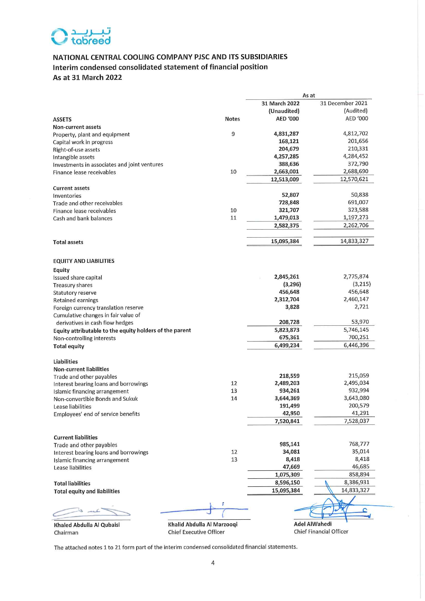

# NATIONAL CENTRAL COOLING COMPANY PJSC AND ITS SUBSIDIARIES Interim condensed consolidated statement of financial position As at 31 March 2022

|                                                         |                                | As at           |                         |
|---------------------------------------------------------|--------------------------------|-----------------|-------------------------|
|                                                         |                                | 31 March 2022   | 31 December 2021        |
|                                                         |                                | (Unaudited)     | (Audited)               |
| <b>ASSETS</b>                                           | <b>Notes</b>                   | <b>AED '000</b> | AED '000                |
| Non-current assets                                      |                                |                 |                         |
| Property, plant and equipment                           | 9                              | 4,831,287       | 4,812,702               |
| Capital work in progress                                |                                | 168,121         | 201,656                 |
| Right-of-use assets                                     |                                | 204,679         | 210,331                 |
| Intangible assets                                       |                                | 4,257,285       | 4,284,452               |
| Investments in associates and joint ventures            |                                | 388,636         | 372,790                 |
| Finance lease receivables                               | 10                             | 2,663,001       | 2,688,690               |
|                                                         |                                | 12,513,009      | 12,570,621              |
| <b>Current assets</b>                                   |                                |                 |                         |
| Inventories                                             |                                | 52,807          | 50,838                  |
| Trade and other receivables                             |                                | 728,848         | 691,007                 |
| Finance lease receivables                               | 10                             | 321,707         | 323,588                 |
| Cash and bank balances                                  | 11                             | 1,479,013       | 1,197,273               |
|                                                         |                                | 2,582,375       | 2,262,706               |
|                                                         |                                |                 |                         |
| <b>Total assets</b>                                     |                                | 15,095,384      | 14,833,327              |
|                                                         |                                |                 |                         |
| <b>EQUITY AND LIABILITIES</b>                           |                                |                 |                         |
| Equity                                                  |                                |                 |                         |
| Issued share capital                                    |                                | 2,845,261       | 2,775,874               |
| Treasury shares                                         |                                | (3, 296)        | (3,215)                 |
| Statutory reserve                                       |                                | 456,648         | 456,648                 |
| <b>Retained earnings</b>                                |                                | 2,312,704       | 2,460,147               |
| Foreign currency translation reserve                    |                                | 3,828           | 2,721                   |
| Cumulative changes in fair value of                     |                                |                 |                         |
| derivatives in cash flow hedges                         |                                | 208,728         | 53,970                  |
| Equity attributable to the equity holders of the parent |                                | 5,823,873       | 5,746,145               |
| Non-controlling interests                               |                                | 675,361         | 700,251                 |
| <b>Total equity</b>                                     |                                | 6,499,234       | 6,446,396               |
|                                                         |                                |                 |                         |
| <b>Liabilities</b>                                      |                                |                 |                         |
| <b>Non-current liabilities</b>                          |                                |                 |                         |
| Trade and other payables                                |                                | 218,559         | 215,059                 |
| Interest bearing loans and borrowings                   | 12                             | 2,489,203       | 2,495,034               |
| Islamic financing arrangement                           | 13                             | 934,261         | 932,994                 |
| Non-convertible Bonds and Sukuk                         | 14                             | 3,644,369       | 3,643,080               |
| Lease liabilities                                       |                                | 191,499         | 200,579                 |
| Employees' end of service benefits                      |                                | 42,950          | 41,291                  |
|                                                         |                                | 7,520,841       | 7,528,037               |
| <b>Current liabilities</b>                              |                                |                 |                         |
| Trade and other payables                                |                                | 985,141         | 768,777                 |
| Interest bearing loans and borrowings                   | 12                             | 34,081          | 35,014                  |
| Islamic financing arrangement                           | 13                             | 8,418           | 8,418                   |
| Lease liabilities                                       |                                | 47,669          | 46,685                  |
|                                                         |                                | 1,075,309       | 858,894                 |
| <b>Total liabilities</b>                                |                                | 8,596,150       | 8,386,931               |
| <b>Total equity and liabilities</b>                     |                                | 15,095,384      | 14,833,327              |
|                                                         |                                |                 |                         |
|                                                         |                                |                 |                         |
|                                                         |                                |                 |                         |
| Khaled Abdulla Al Qubaisi                               | Khalid Abdulla Al Marzooqi     |                 | Adel AlWahedi           |
| Chairman                                                | <b>Chief Executive Officer</b> |                 | Chief Financial Officer |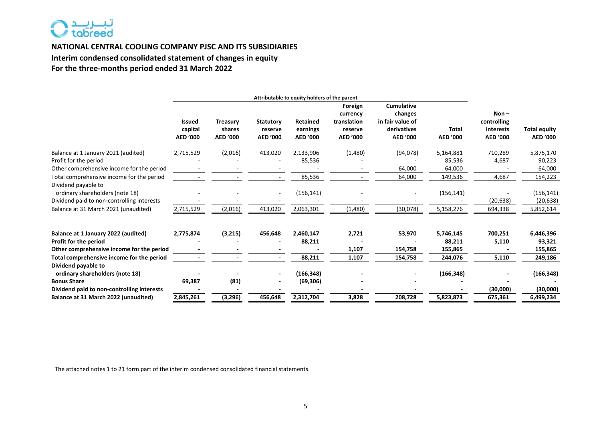# تبــريــد<br>tabreed

# **NATIONAL CENTRAL COOLING COMPANY PJSC AND ITS SUBSIDIARIES Interim condensed consolidated statement of changes in equity For the three-months period ended 31 March 2022**

|                                                                                                      | Attributable to equity holders of the parent |                                       |                                         |                                         |                                                           |                                                                             |                          |                                                               |                                 |
|------------------------------------------------------------------------------------------------------|----------------------------------------------|---------------------------------------|-----------------------------------------|-----------------------------------------|-----------------------------------------------------------|-----------------------------------------------------------------------------|--------------------------|---------------------------------------------------------------|---------------------------------|
|                                                                                                      | Issued<br>capital<br><b>AED '000</b>         | <b>Treasury</b><br>shares<br>AED '000 | <b>Statutory</b><br>reserve<br>AED '000 | <b>Retained</b><br>earnings<br>AED '000 | Foreign<br>currency<br>translation<br>reserve<br>AED '000 | <b>Cumulative</b><br>changes<br>in fair value of<br>derivatives<br>AED '000 | <b>Total</b><br>AED '000 | $Non -$<br>controlling<br><b>interests</b><br><b>AED '000</b> | <b>Total equity</b><br>AED '000 |
| Balance at 1 January 2021 (audited)                                                                  | 2,715,529                                    | (2,016)                               | 413,020                                 | 2,133,906                               | (1,480)                                                   | (94, 078)                                                                   | 5,164,881                | 710,289                                                       | 5,875,170                       |
| Profit for the period                                                                                |                                              |                                       |                                         | 85,536                                  |                                                           |                                                                             | 85,536                   | 4,687                                                         | 90,223                          |
| Other comprehensive income for the period                                                            |                                              |                                       |                                         |                                         |                                                           | 64,000                                                                      | 64,000                   |                                                               | 64,000                          |
| Total comprehensive income for the period                                                            |                                              |                                       |                                         | 85,536                                  | $\sim$                                                    | 64,000                                                                      | 149,536                  | 4,687                                                         | 154,223                         |
| Dividend payable to<br>ordinary shareholders (note 18)<br>Dividend paid to non-controlling interests |                                              |                                       |                                         | (156, 141)                              |                                                           |                                                                             | (156, 141)               | (20, 638)                                                     | (156, 141)<br>(20, 638)         |
| Balance at 31 March 2021 (unaudited)                                                                 | 2,715,529                                    | (2,016)                               | 413,020                                 | 2,063,301                               | (1,480)                                                   | (30,078)                                                                    | 5,158,276                | 694,338                                                       | 5,852,614                       |
| Balance at 1 January 2022 (audited)                                                                  | 2,775,874                                    | (3,215)                               | 456,648                                 | 2,460,147                               | 2,721                                                     | 53,970                                                                      | 5,746,145                | 700,251                                                       | 6,446,396                       |
| Profit for the period<br>Other comprehensive income for the period                                   |                                              |                                       |                                         | 88,211                                  | 1,107                                                     | 154,758                                                                     | 88,211<br>155,865        | 5,110                                                         | 93,321<br>155,865               |
| Total comprehensive income for the period                                                            |                                              |                                       |                                         | 88,211                                  | 1,107                                                     | 154,758                                                                     | 244,076                  |                                                               | 249,186                         |
| Dividend payable to                                                                                  |                                              |                                       |                                         |                                         |                                                           |                                                                             |                          | 5,110                                                         |                                 |
| ordinary shareholders (note 18)                                                                      |                                              |                                       | $\overline{\phantom{a}}$                | (166, 348)                              |                                                           |                                                                             | (166, 348)               |                                                               | (166, 348)                      |
| <b>Bonus Share</b>                                                                                   | 69,387                                       | (81)                                  |                                         | (69, 306)                               |                                                           |                                                                             |                          |                                                               |                                 |
| Dividend paid to non-controlling interests                                                           |                                              |                                       |                                         |                                         |                                                           |                                                                             |                          | (30,000)                                                      | (30,000)                        |
| Balance at 31 March 2022 (unaudited)                                                                 | 2,845,261                                    | (3, 296)                              | 456,648                                 | 2,312,704                               | 3,828                                                     | 208,728                                                                     | 5,823,873                | 675,361                                                       | 6,499,234                       |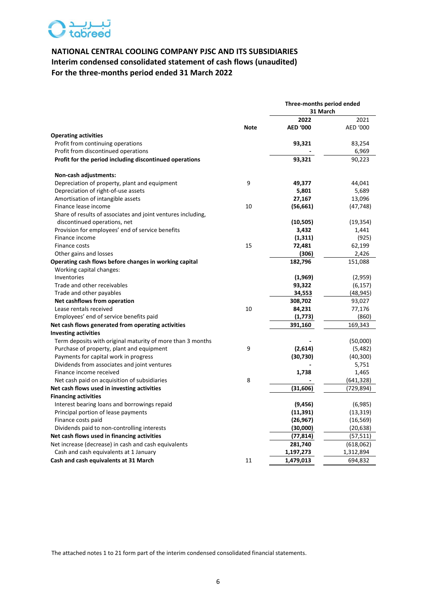

# **NATIONAL CENTRAL COOLING COMPANY PJSC AND ITS SUBSIDIARIES Interim condensed consolidated statement of cash flows (unaudited) For the three-months period ended 31 March 2022**

|                                                              |             | Three-months period ended<br>31 March |                  |  |
|--------------------------------------------------------------|-------------|---------------------------------------|------------------|--|
|                                                              |             |                                       |                  |  |
|                                                              | <b>Note</b> | 2022<br><b>AED '000</b>               | 2021<br>AED '000 |  |
| <b>Operating activities</b>                                  |             |                                       |                  |  |
| Profit from continuing operations                            |             | 93,321                                | 83,254           |  |
| Profit from discontinued operations                          |             |                                       | 6,969            |  |
| Profit for the period including discontinued operations      |             | 93,321                                | 90,223           |  |
| Non-cash adjustments:                                        |             |                                       |                  |  |
| Depreciation of property, plant and equipment                | 9           | 49,377                                | 44,041           |  |
| Depreciation of right-of-use assets                          |             | 5,801                                 | 5,689            |  |
| Amortisation of intangible assets                            |             | 27,167                                | 13,096           |  |
| Finance lease income                                         | 10          | (56, 661)                             | (47, 748)        |  |
| Share of results of associates and joint ventures including, |             |                                       |                  |  |
| discontinued operations, net                                 |             | (10, 505)                             | (19, 354)        |  |
| Provision for employees' end of service benefits             |             | 3,432                                 | 1,441            |  |
| Finance income                                               |             | (1, 311)                              | (925)            |  |
| Finance costs                                                | 15          | 72,481                                | 62,199           |  |
| Other gains and losses                                       |             | (306)                                 | 2,426            |  |
| Operating cash flows before changes in working capital       |             | 182,796                               | 151,088          |  |
| Working capital changes:                                     |             |                                       |                  |  |
| Inventories                                                  |             | (1,969)                               | (2,959)          |  |
| Trade and other receivables                                  |             | 93,322                                | (6, 157)         |  |
| Trade and other payables                                     |             | 34,553                                | (48, 945)        |  |
| Net cashflows from operation                                 |             | 308,702                               | 93,027           |  |
| Lease rentals received                                       | 10          | 84,231                                | 77,176           |  |
| Employees' end of service benefits paid                      |             | (1,773)                               | (860)            |  |
| Net cash flows generated from operating activities           |             | 391,160                               | 169,343          |  |
| <b>Investing activities</b>                                  |             |                                       |                  |  |
| Term deposits with original maturity of more than 3 months   |             |                                       | (50,000)         |  |
| Purchase of property, plant and equipment                    | 9           | (2,614)                               | (5,482)          |  |
| Payments for capital work in progress                        |             | (30, 730)                             | (40, 300)        |  |
| Dividends from associates and joint ventures                 |             |                                       | 5,751            |  |
| Finance income received                                      |             | 1,738                                 | 1,465            |  |
| Net cash paid on acquisition of subsidiaries                 | 8           |                                       | (641, 328)       |  |
| Net cash flows used in investing activities                  |             | (31,606)                              | (729, 894)       |  |
| <b>Financing activities</b>                                  |             |                                       |                  |  |
| Interest bearing loans and borrowings repaid                 |             | (9, 456)                              | (6,985)          |  |
| Principal portion of lease payments                          |             | (11, 391)                             | (13, 319)        |  |
| Finance costs paid                                           |             | (26, 967)                             | (16, 569)        |  |
| Dividends paid to non-controlling interests                  |             | (30,000)                              | (20, 638)        |  |
| Net cash flows used in financing activities                  |             | (77, 814)                             | (57, 511)        |  |
| Net increase (decrease) in cash and cash equivalents         |             | 281,740                               | (618,062)        |  |
| Cash and cash equivalents at 1 January                       |             | 1,197,273                             | 1,312,894        |  |
| Cash and cash equivalents at 31 March                        | 11          | 1,479,013                             | 694,832          |  |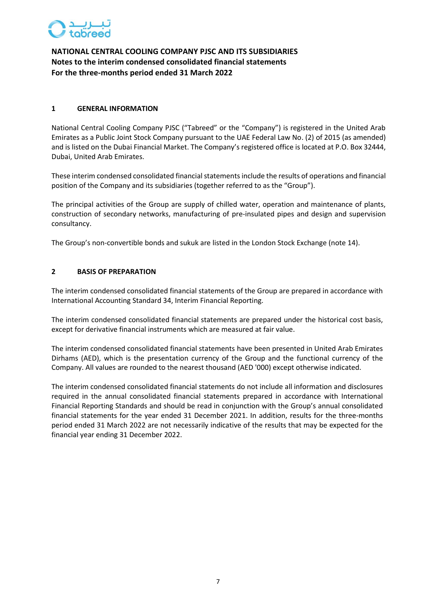

## **1 GENERAL INFORMATION**

National Central Cooling Company PJSC ("Tabreed" or the "Company") is registered in the United Arab Emirates as a Public Joint Stock Company pursuant to the UAE Federal Law No. (2) of 2015 (as amended) and is listed on the Dubai Financial Market. The Company's registered office is located at P.O. Box 32444, Dubai, United Arab Emirates.

These interim condensed consolidated financial statementsinclude the results of operations and financial position of the Company and its subsidiaries (together referred to as the "Group").

The principal activities of the Group are supply of chilled water, operation and maintenance of plants, construction of secondary networks, manufacturing of pre-insulated pipes and design and supervision consultancy.

The Group's non-convertible bonds and sukuk are listed in the London Stock Exchange (note 14).

### **2 BASIS OF PREPARATION**

The interim condensed consolidated financial statements of the Group are prepared in accordance with International Accounting Standard 34, Interim Financial Reporting.

The interim condensed consolidated financial statements are prepared under the historical cost basis, except for derivative financial instruments which are measured at fair value.

The interim condensed consolidated financial statements have been presented in United Arab Emirates Dirhams (AED), which is the presentation currency of the Group and the functional currency of the Company. All values are rounded to the nearest thousand (AED '000) except otherwise indicated.

The interim condensed consolidated financial statements do not include all information and disclosures required in the annual consolidated financial statements prepared in accordance with International Financial Reporting Standards and should be read in conjunction with the Group's annual consolidated financial statements for the year ended 31 December 2021. In addition, results for the three-months period ended 31 March 2022 are not necessarily indicative of the results that may be expected for the financial year ending 31 December 2022.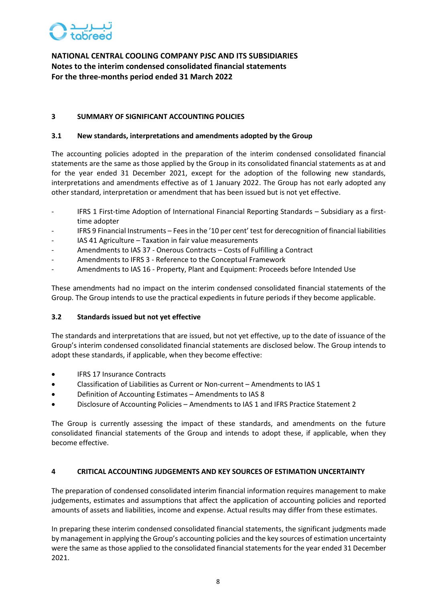

# **3 SUMMARY OF SIGNIFICANT ACCOUNTING POLICIES**

# **3.1 New standards, interpretations and amendments adopted by the Group**

The accounting policies adopted in the preparation of the interim condensed consolidated financial statements are the same as those applied by the Group in its consolidated financial statements as at and for the year ended 31 December 2021, except for the adoption of the following new standards, interpretations and amendments effective as of 1 January 2022. The Group has not early adopted any other standard, interpretation or amendment that has been issued but is not yet effective.

- IFRS 1 First-time Adoption of International Financial Reporting Standards Subsidiary as a firsttime adopter
- IFRS 9 Financial Instruments Fees in the '10 per cent' test for derecognition of financial liabilities
- IAS 41 Agriculture Taxation in fair value measurements
- Amendments to IAS 37 Onerous Contracts Costs of Fulfilling a Contract
- Amendments to IFRS 3 Reference to the Conceptual Framework
- Amendments to IAS 16 Property, Plant and Equipment: Proceeds before Intended Use

These amendments had no impact on the interim condensed consolidated financial statements of the Group. The Group intends to use the practical expedients in future periods if they become applicable.

# **3.2 Standards issued but not yet effective**

The standards and interpretations that are issued, but not yet effective, up to the date of issuance of the Group's interim condensed consolidated financial statements are disclosed below. The Group intends to adopt these standards, if applicable, when they become effective:

- IFRS 17 Insurance Contracts
- Classification of Liabilities as Current or Non-current Amendments to IAS 1
- Definition of Accounting Estimates Amendments to IAS 8
- Disclosure of Accounting Policies Amendments to IAS 1 and IFRS Practice Statement 2

The Group is currently assessing the impact of these standards, and amendments on the future consolidated financial statements of the Group and intends to adopt these, if applicable, when they become effective.

# **4 CRITICAL ACCOUNTING JUDGEMENTS AND KEY SOURCES OF ESTIMATION UNCERTAINTY**

The preparation of condensed consolidated interim financial information requires management to make judgements, estimates and assumptions that affect the application of accounting policies and reported amounts of assets and liabilities, income and expense. Actual results may differ from these estimates.

In preparing these interim condensed consolidated financial statements, the significant judgments made by management in applying the Group's accounting policies and the key sources of estimation uncertainty were the same as those applied to the consolidated financial statements for the year ended 31 December 2021.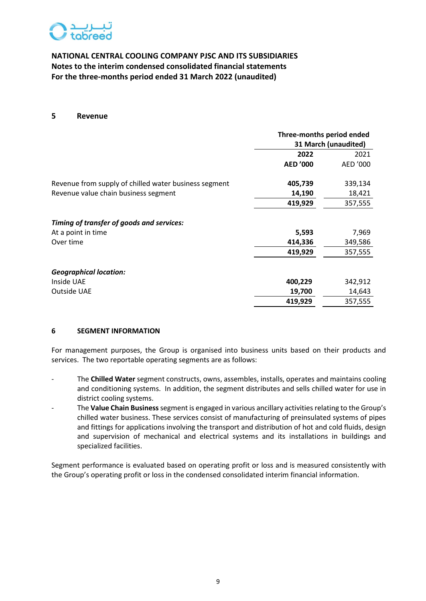

## **5 Revenue**

|                                                       | Three-months period ended<br>31 March (unaudited) |          |  |  |
|-------------------------------------------------------|---------------------------------------------------|----------|--|--|
|                                                       | 2022<br>2021                                      |          |  |  |
|                                                       | <b>AED '000</b>                                   | AED '000 |  |  |
| Revenue from supply of chilled water business segment | 405,739                                           | 339,134  |  |  |
| Revenue value chain business segment                  | 14,190                                            | 18,421   |  |  |
|                                                       | 419,929                                           | 357,555  |  |  |
| Timing of transfer of goods and services:             |                                                   |          |  |  |
| At a point in time                                    | 5,593                                             | 7,969    |  |  |
| Over time                                             | 414,336                                           | 349,586  |  |  |
|                                                       | 419,929                                           | 357,555  |  |  |
| <b>Geographical location:</b>                         |                                                   |          |  |  |
| Inside UAE                                            | 400,229                                           | 342,912  |  |  |
| <b>Outside UAE</b>                                    | 19,700                                            | 14,643   |  |  |
|                                                       | 419,929                                           | 357,555  |  |  |

### **6 SEGMENT INFORMATION**

For management purposes, the Group is organised into business units based on their products and services. The two reportable operating segments are as follows:

- The **Chilled Water** segment constructs, owns, assembles, installs, operates and maintains cooling and conditioning systems. In addition, the segment distributes and sells chilled water for use in district cooling systems.
- The **Value Chain Business**segment is engaged in various ancillary activities relating to the Group's chilled water business. These services consist of manufacturing of preinsulated systems of pipes and fittings for applications involving the transport and distribution of hot and cold fluids, design and supervision of mechanical and electrical systems and its installations in buildings and specialized facilities.

Segment performance is evaluated based on operating profit or loss and is measured consistently with the Group's operating profit or loss in the condensed consolidated interim financial information.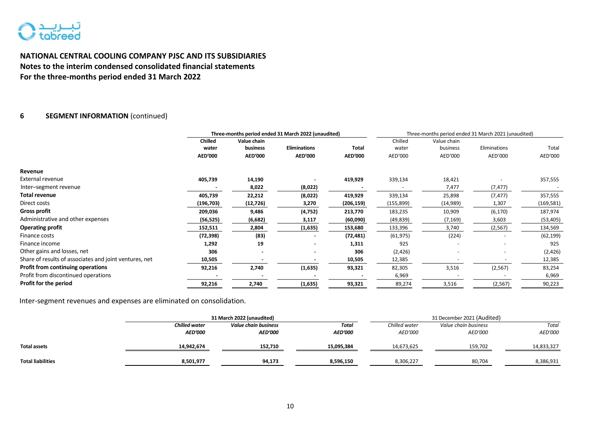# تب رید<br>C tobreed

# **NATIONAL CENTRAL COOLING COMPANY PJSC AND ITS SUBSIDIARIES Notes to the interim condensed consolidated financial statements For the three-months period ended 31 March 2022**

# **6 SEGMENT INFORMATION** (continued)

|                                                        |                | Three-months period ended 31 March 2022 (unaudited) |                     |                |           |             | Three-months period ended 31 March 2021 (unaudited) |            |
|--------------------------------------------------------|----------------|-----------------------------------------------------|---------------------|----------------|-----------|-------------|-----------------------------------------------------|------------|
|                                                        | Chilled        | Value chain                                         |                     |                | Chilled   | Value chain |                                                     |            |
|                                                        | water          | business                                            | <b>Eliminations</b> | Total          | water     | business    | Eliminations                                        | Total      |
|                                                        | <b>AED'000</b> | <b>AED'000</b>                                      | <b>AED'000</b>      | <b>AED'000</b> | AED'000   | AED'000     | AED'000                                             | AED'000    |
| Revenue                                                |                |                                                     |                     |                |           |             |                                                     |            |
| External revenue                                       | 405,739        | 14,190                                              |                     | 419,929        | 339,134   | 18,421      |                                                     | 357,555    |
| Inter-segment revenue                                  |                | 8,022                                               | (8,022)             |                |           | 7,477       | (7, 477)                                            |            |
| <b>Total revenue</b>                                   | 405,739        | 22,212                                              | (8,022)             | 419,929        | 339,134   | 25,898      | (7, 477)                                            | 357,555    |
| Direct costs                                           | (196, 703)     | (12,726)                                            | 3,270               | (206, 159)     | (155,899) | (14,989)    | 1,307                                               | (169, 581) |
| <b>Gross profit</b>                                    | 209,036        | 9,486                                               | (4, 752)            | 213,770        | 183,235   | 10,909      | (6, 170)                                            | 187,974    |
| Administrative and other expenses                      | (56, 525)      | (6,682)                                             | 3,117               | (60,090)       | (49, 839) | (7,169)     | 3,603                                               | (53, 405)  |
| <b>Operating profit</b>                                | 152,511        | 2,804                                               | (1,635)             | 153,680        | 133,396   | 3,740       | (2, 567)                                            | 134,569    |
| Finance costs                                          | (72, 398)      | (83)                                                |                     | (72, 481)      | (61, 975) | (224)       |                                                     | (62, 199)  |
| Finance income                                         | 1,292          | 19                                                  |                     | 1,311          | 925       |             |                                                     | 925        |
| Other gains and losses, net                            | 306            |                                                     |                     | 306            | (2,426)   |             |                                                     | (2, 426)   |
| Share of results of associates and joint ventures, net | 10,505         |                                                     |                     | 10,505         | 12,385    |             |                                                     | 12,385     |
| Profit from continuing operations                      | 92,216         | 2,740                                               | (1,635)             | 93,321         | 82,305    | 3,516       | (2, 567)                                            | 83,254     |
| Profit from discontinued operations                    |                |                                                     |                     |                | 6,969     |             |                                                     | 6,969      |
| Profit for the period                                  | 92,216         | 2,740                                               | (1,635)             | 93,321         | 89,274    | 3,516       | (2, 567)                                            | 90,223     |

Inter-segment revenues and expenses are eliminated on consolidation.

|                          | 31 March 2022 (unaudited)              |                                        |                         |                          | 31 December 2021 (Audited)      |                         |
|--------------------------|----------------------------------------|----------------------------------------|-------------------------|--------------------------|---------------------------------|-------------------------|
|                          | <b>Chilled water</b><br><b>AED'000</b> | Value chain business<br><b>AED'000</b> | Total<br><b>AED'000</b> | Chilled water<br>AED'000 | Value chain business<br>AED'000 | <b>Total</b><br>AED'000 |
| <b>Total assets</b>      | 14,942,674                             | 152,710                                | 15,095,384              | 14,673,625               | 159.702                         | 14,833,327              |
| <b>Total liabilities</b> | 8,501,977                              | 94,173                                 | 8,596,150               | 8,306,227                | 80,704                          | 8,386,931               |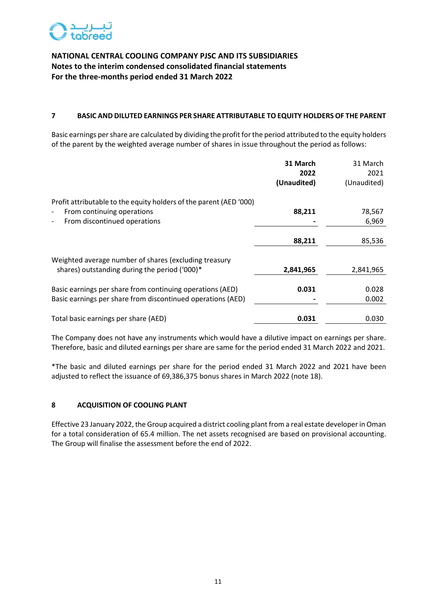

# **7 BASIC AND DILUTED EARNINGS PER SHARE ATTRIBUTABLE TO EQUITY HOLDERS OF THE PARENT**

Basic earnings per share are calculated by dividing the profit for the period attributed to the equity holders of the parent by the weighted average number of shares in issue throughout the period as follows:

|                                                                                                        | 31 March<br>2022 | 31 March<br>2021 |
|--------------------------------------------------------------------------------------------------------|------------------|------------------|
|                                                                                                        | (Unaudited)      | (Unaudited)      |
| Profit attributable to the equity holders of the parent (AED '000)                                     |                  |                  |
| From continuing operations<br>$\qquad \qquad -$                                                        | 88,211           | 78,567           |
| From discontinued operations<br>$\qquad \qquad -$                                                      |                  | 6,969            |
|                                                                                                        | 88,211           | 85,536           |
| Weighted average number of shares (excluding treasury<br>shares) outstanding during the period ('000)* | 2,841,965        | 2,841,965        |
| Basic earnings per share from continuing operations (AED)                                              | 0.031            | 0.028            |
| Basic earnings per share from discontinued operations (AED)                                            |                  | 0.002            |
| Total basic earnings per share (AED)                                                                   | 0.031            | 0.030            |

The Company does not have any instruments which would have a dilutive impact on earnings per share. Therefore, basic and diluted earnings per share are same for the period ended 31 March 2022 and 2021.

\*The basic and diluted earnings per share for the period ended 31 March 2022 and 2021 have been adjusted to reflect the issuance of 69,386,375 bonus shares in March 2022 (note 18).

# **8 ACQUISITION OF COOLING PLANT**

Effective 23 January 2022, the Group acquired a district cooling plant from a real estate developer in Oman for a total consideration of 65.4 million. The net assets recognised are based on provisional accounting. The Group will finalise the assessment before the end of 2022.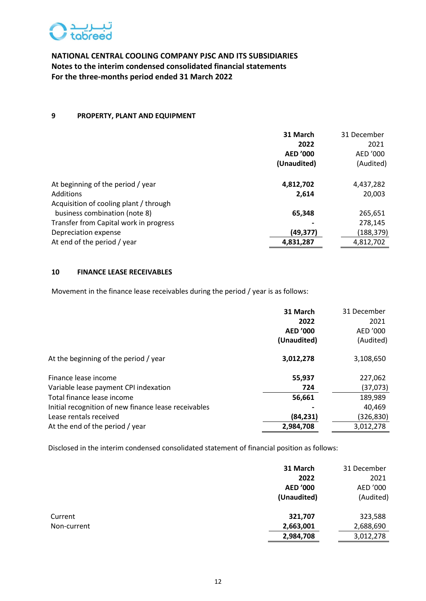

# **9 PROPERTY, PLANT AND EQUIPMENT**

|                                        | 31 March        | 31 December |
|----------------------------------------|-----------------|-------------|
|                                        | 2022            | 2021        |
|                                        | <b>AED '000</b> | AED '000    |
|                                        | (Unaudited)     | (Audited)   |
| At beginning of the period / year      | 4,812,702       | 4,437,282   |
| <b>Additions</b>                       | 2,614           | 20,003      |
| Acquisition of cooling plant / through |                 |             |
| business combination (note 8)          | 65,348          | 265,651     |
| Transfer from Capital work in progress |                 | 278,145     |
| Depreciation expense                   | (49, 377)       | (188, 379)  |
| At end of the period / year            | 4,831,287       | 4,812,702   |

# **10 FINANCE LEASE RECEIVABLES**

Movement in the finance lease receivables during the period / year is as follows:

|                                                      | 31 March       | 31 December |
|------------------------------------------------------|----------------|-------------|
|                                                      | 2022           | 2021        |
|                                                      | <b>AED'000</b> | AED '000    |
|                                                      | (Unaudited)    | (Audited)   |
| At the beginning of the period / year                | 3,012,278      | 3,108,650   |
| Finance lease income                                 | 55,937         | 227,062     |
| Variable lease payment CPI indexation                | 724            | (37,073)    |
| Total finance lease income                           | 56,661         | 189,989     |
| Initial recognition of new finance lease receivables |                | 40,469      |
| Lease rentals received                               | (84, 231)      | (326, 830)  |
| At the end of the period / year                      | 2,984,708      | 3,012,278   |

Disclosed in the interim condensed consolidated statement of financial position as follows:

| 31 March                 | 31 December |
|--------------------------|-------------|
| 2022                     | 2021        |
| <b>AED '000</b>          | AED '000    |
| (Unaudited)              | (Audited)   |
| 321,707<br>Current       | 323,588     |
| 2,663,001<br>Non-current | 2,688,690   |
| 2,984,708                | 3,012,278   |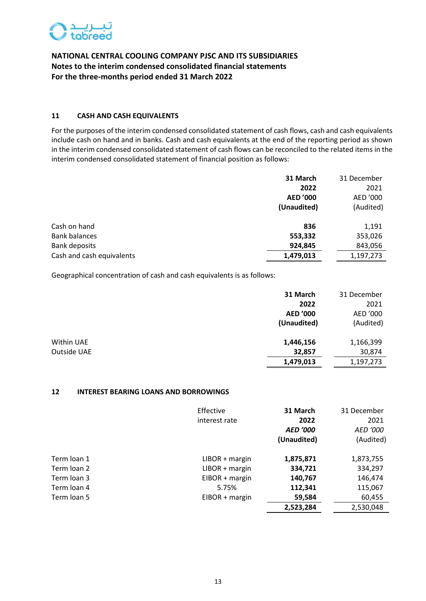

# **11 CASH AND CASH EQUIVALENTS**

For the purposes of the interim condensed consolidated statement of cash flows, cash and cash equivalents include cash on hand and in banks. Cash and cash equivalents at the end of the reporting period as shown in the interim condensed consolidated statement of cash flows can be reconciled to the related items in the interim condensed consolidated statement of financial position as follows:

|                           | 31 March        | 31 December |
|---------------------------|-----------------|-------------|
|                           | 2022            | 2021        |
|                           | <b>AED '000</b> | AED '000    |
|                           | (Unaudited)     | (Audited)   |
| Cash on hand              | 836             | 1,191       |
| <b>Bank balances</b>      | 553,332         | 353,026     |
| <b>Bank deposits</b>      | 924,845         | 843,056     |
| Cash and cash equivalents | 1,479,013       | 1,197,273   |

Geographical concentration of cash and cash equivalents is as follows:

|             | 31 March        | 31 December |
|-------------|-----------------|-------------|
|             | 2022            | 2021        |
|             | <b>AED '000</b> | AED '000    |
|             | (Unaudited)     | (Audited)   |
| Within UAE  | 1,446,156       | 1,166,399   |
| Outside UAE | 32,857          | 30,874      |
|             | 1,479,013       | 1,197,273   |

### **12 INTEREST BEARING LOANS AND BORROWINGS**

|             | Effective        | 31 March        | 31 December |
|-------------|------------------|-----------------|-------------|
|             | interest rate    | 2022            | 2021        |
|             |                  | <b>AED '000</b> | AED '000    |
|             |                  | (Unaudited)     | (Audited)   |
| Term loan 1 | $LIBOR + margin$ | 1,875,871       | 1,873,755   |
| Term loan 2 | $LIBOR + margin$ | 334,721         | 334,297     |
| Term loan 3 | $EIBOR + margin$ | 140,767         | 146,474     |
| Term loan 4 | 5.75%            | 112,341         | 115,067     |
| Term loan 5 | $EIBOR + margin$ | 59,584          | 60,455      |
|             |                  | 2,523,284       | 2,530,048   |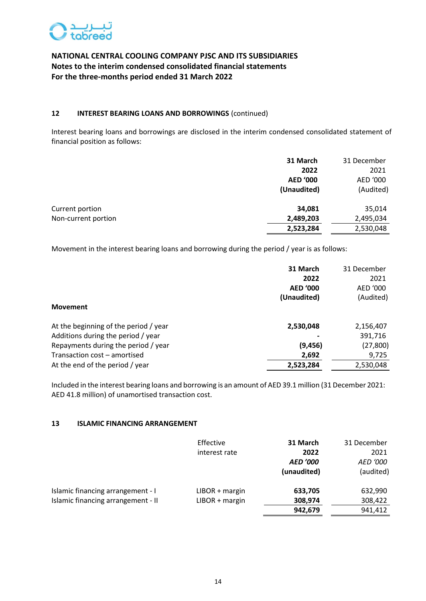

# **12 INTEREST BEARING LOANS AND BORROWINGS** (continued)

Interest bearing loans and borrowings are disclosed in the interim condensed consolidated statement of financial position as follows:

|                     | 31 March        | 31 December |
|---------------------|-----------------|-------------|
|                     | 2022            | 2021        |
|                     | <b>AED '000</b> | AED '000    |
|                     | (Unaudited)     | (Audited)   |
| Current portion     | 34,081          | 35,014      |
| Non-current portion | 2,489,203       | 2,495,034   |
|                     | 2,523,284       | 2,530,048   |

Movement in the interest bearing loans and borrowing during the period / year is as follows:

|                                       | 31 March        | 31 December |
|---------------------------------------|-----------------|-------------|
|                                       | 2022            | 2021        |
|                                       | <b>AED '000</b> | AED '000    |
|                                       | (Unaudited)     | (Audited)   |
| <b>Movement</b>                       |                 |             |
| At the beginning of the period / year | 2,530,048       | 2,156,407   |
| Additions during the period / year    |                 | 391,716     |
| Repayments during the period / year   | (9, 456)        | (27, 800)   |
| Transaction cost - amortised          | 2,692           | 9,725       |
| At the end of the period / year       | 2,523,284       | 2,530,048   |
|                                       |                 |             |

Included in the interest bearing loans and borrowing is an amount of AED 39.1 million (31 December 2021: AED 41.8 million) of unamortised transaction cost.

## **13 ISLAMIC FINANCING ARRANGEMENT**

|                                    | Effective<br>interest rate | 31 March<br>2022<br><b>AED '000</b><br>(unaudited) | 31 December<br>2021<br>AED '000<br>(audited) |
|------------------------------------|----------------------------|----------------------------------------------------|----------------------------------------------|
| Islamic financing arrangement - I  | $LIBOR + margin$           | 633,705                                            | 632,990                                      |
| Islamic financing arrangement - II | $LIBOR + margin$           | 308,974                                            | 308,422                                      |
|                                    |                            | 942,679                                            | 941,412                                      |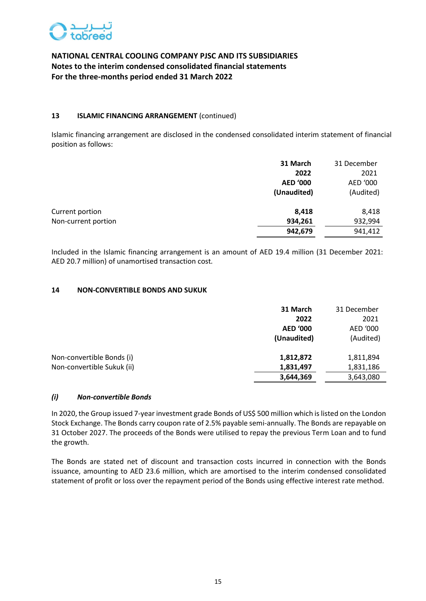

# **13 ISLAMIC FINANCING ARRANGEMENT** (continued)

Islamic financing arrangement are disclosed in the condensed consolidated interim statement of financial position as follows:

|                     | 31 March        | 31 December |
|---------------------|-----------------|-------------|
|                     | 2022            | 2021        |
|                     | <b>AED '000</b> | AED '000    |
|                     | (Unaudited)     | (Audited)   |
| Current portion     | 8,418           | 8,418       |
| Non-current portion | 934,261         | 932,994     |
|                     | 942,679         | 941,412     |

Included in the Islamic financing arrangement is an amount of AED 19.4 million (31 December 2021: AED 20.7 million) of unamortised transaction cost*.*

### **14 NON-CONVERTIBLE BONDS AND SUKUK**

|                            | 31 March        | 31 December |
|----------------------------|-----------------|-------------|
|                            | 2022            | 2021        |
|                            | <b>AED '000</b> | AED '000    |
|                            | (Unaudited)     | (Audited)   |
| Non-convertible Bonds (i)  | 1,812,872       | 1,811,894   |
| Non-convertible Sukuk (ii) | 1,831,497       | 1,831,186   |
|                            | 3,644,369       | 3,643,080   |

### *(i) Non-convertible Bonds*

In 2020, the Group issued 7-year investment grade Bonds of US\$ 500 million which is listed on the London Stock Exchange. The Bonds carry coupon rate of 2.5% payable semi-annually. The Bonds are repayable on 31 October 2027. The proceeds of the Bonds were utilised to repay the previous Term Loan and to fund the growth.

The Bonds are stated net of discount and transaction costs incurred in connection with the Bonds issuance, amounting to AED 23.6 million, which are amortised to the interim condensed consolidated statement of profit or loss over the repayment period of the Bonds using effective interest rate method.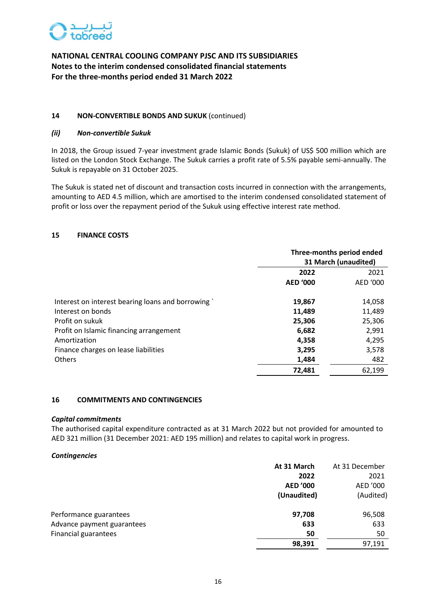

# **14 NON-CONVERTIBLE BONDS AND SUKUK** (continued)

### *(ii) Non-convertible Sukuk*

In 2018, the Group issued 7-year investment grade Islamic Bonds (Sukuk) of US\$ 500 million which are listed on the London Stock Exchange. The Sukuk carries a profit rate of 5.5% payable semi-annually. The Sukuk is repayable on 31 October 2025.

The Sukuk is stated net of discount and transaction costs incurred in connection with the arrangements, amounting to AED 4.5 million, which are amortised to the interim condensed consolidated statement of profit or loss over the repayment period of the Sukuk using effective interest rate method.

#### **15 FINANCE COSTS**

|                                                  | Three-months period ended<br>31 March (unaudited) |          |
|--------------------------------------------------|---------------------------------------------------|----------|
|                                                  | 2022                                              | 2021     |
|                                                  | <b>AED '000</b>                                   | AED '000 |
| Interest on interest bearing loans and borrowing | 19,867                                            | 14,058   |
| Interest on bonds                                | 11,489                                            | 11,489   |
| Profit on sukuk                                  | 25,306                                            | 25,306   |
| Profit on Islamic financing arrangement          | 6,682                                             | 2,991    |
| Amortization                                     | 4,358                                             | 4,295    |
| Finance charges on lease liabilities             | 3,295                                             | 3,578    |
| <b>Others</b>                                    | 1,484                                             | 482      |
|                                                  | 72,481                                            | 62,199   |

#### **16 COMMITMENTS AND CONTINGENCIES**

#### *Capital commitments*

The authorised capital expenditure contracted as at 31 March 2022 but not provided for amounted to AED 321 million (31 December 2021: AED 195 million) and relates to capital work in progress.

#### *Contingencies*

|                             | At 31 March     | At 31 December |
|-----------------------------|-----------------|----------------|
|                             | 2022            | 2021           |
|                             | <b>AED '000</b> | AED '000       |
|                             | (Unaudited)     | (Audited)      |
| Performance guarantees      | 97,708          | 96,508         |
| Advance payment guarantees  | 633             | 633            |
| <b>Financial guarantees</b> | 50              | 50             |
|                             | 98,391          | 97,191         |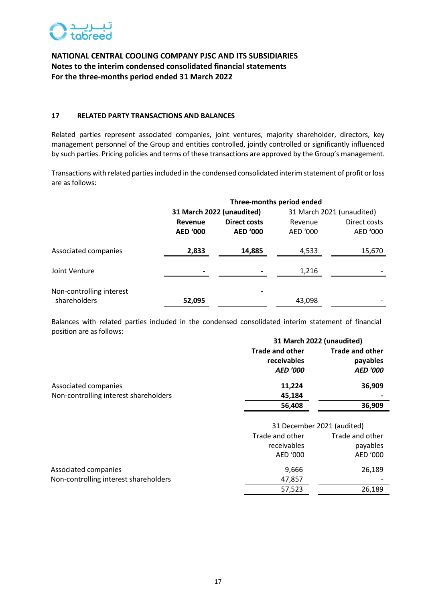

## **17 RELATED PARTY TRANSACTIONS AND BALANCES**

Related parties represent associated companies, joint ventures, majority shareholder, directors, key management personnel of the Group and entities controlled, jointly controlled or significantly influenced by such parties. Pricing policies and terms of these transactions are approved by the Group's management.

Transactions with related parties included in the condensed consolidated interim statement of profit or loss are as follows:

|                                          | Three-months period ended |                 |          |                           |
|------------------------------------------|---------------------------|-----------------|----------|---------------------------|
|                                          | 31 March 2022 (unaudited) |                 |          | 31 March 2021 (unaudited) |
|                                          | Revenue                   | Direct costs    | Revenue  | Direct costs              |
|                                          | <b>AED '000</b>           | <b>AED '000</b> | AED '000 | AED '000                  |
| Associated companies                     | 2,833                     | 14,885          | 4,533    | 15,670                    |
| Joint Venture                            |                           |                 | 1,216    |                           |
| Non-controlling interest<br>shareholders | 52,095                    |                 | 43,098   |                           |

Balances with related parties included in the condensed consolidated interim statement of financial position are as follows:

|                                       | 31 March 2022 (unaudited) |                        |  |
|---------------------------------------|---------------------------|------------------------|--|
|                                       | <b>Trade and other</b>    | <b>Trade and other</b> |  |
|                                       | receivables               | payables               |  |
|                                       | <b>AED '000</b>           | <b>AED '000</b>        |  |
| Associated companies                  | 11.224                    | 36,909                 |  |
| Non-controlling interest shareholders | 45,184                    |                        |  |
|                                       | 56,408                    | 36,909                 |  |

|                                       |                 | 31 December 2021 (audited) |  |  |
|---------------------------------------|-----------------|----------------------------|--|--|
|                                       | Trade and other | Trade and other            |  |  |
|                                       | receivables     | payables                   |  |  |
|                                       | AED '000        | AED '000                   |  |  |
| Associated companies                  | 9,666           | 26,189                     |  |  |
| Non-controlling interest shareholders | 47,857          |                            |  |  |
|                                       | 57,523          | 26,189                     |  |  |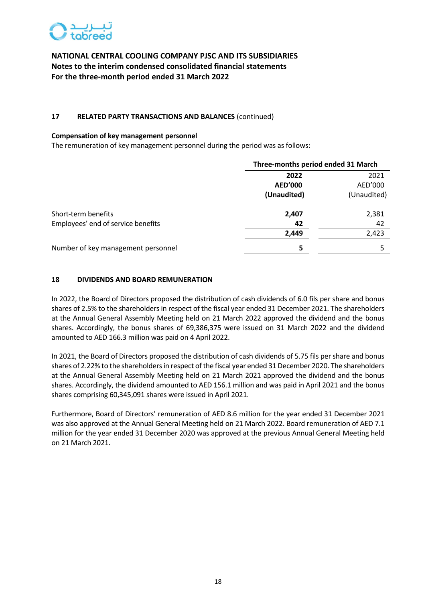

# **17 RELATED PARTY TRANSACTIONS AND BALANCES** (continued)

#### **Compensation of key management personnel**

The remuneration of key management personnel during the period was as follows:

|                                    | Three-months period ended 31 March |             |  |
|------------------------------------|------------------------------------|-------------|--|
|                                    | 2022                               | 2021        |  |
|                                    | <b>AED'000</b>                     | AED'000     |  |
|                                    | (Unaudited)                        | (Unaudited) |  |
| Short-term benefits                | 2,407                              | 2,381       |  |
| Employees' end of service benefits | 42                                 | 42          |  |
|                                    | 2,449                              | 2,423       |  |
| Number of key management personnel | 5                                  |             |  |

### **18 DIVIDENDS AND BOARD REMUNERATION**

In 2022, the Board of Directors proposed the distribution of cash dividends of 6.0 fils per share and bonus shares of 2.5% to the shareholders in respect of the fiscal year ended 31 December 2021. The shareholders at the Annual General Assembly Meeting held on 21 March 2022 approved the dividend and the bonus shares. Accordingly, the bonus shares of 69,386,375 were issued on 31 March 2022 and the dividend amounted to AED 166.3 million was paid on 4 April 2022.

In 2021, the Board of Directors proposed the distribution of cash dividends of 5.75 fils per share and bonus shares of 2.22% to the shareholders in respect of the fiscal year ended 31 December 2020. The shareholders at the Annual General Assembly Meeting held on 21 March 2021 approved the dividend and the bonus shares. Accordingly, the dividend amounted to AED 156.1 million and was paid in April 2021 and the bonus shares comprising 60,345,091 shares were issued in April 2021.

Furthermore, Board of Directors' remuneration of AED 8.6 million for the year ended 31 December 2021 was also approved at the Annual General Meeting held on 21 March 2022. Board remuneration of AED 7.1 million for the year ended 31 December 2020 was approved at the previous Annual General Meeting held on 21 March 2021.